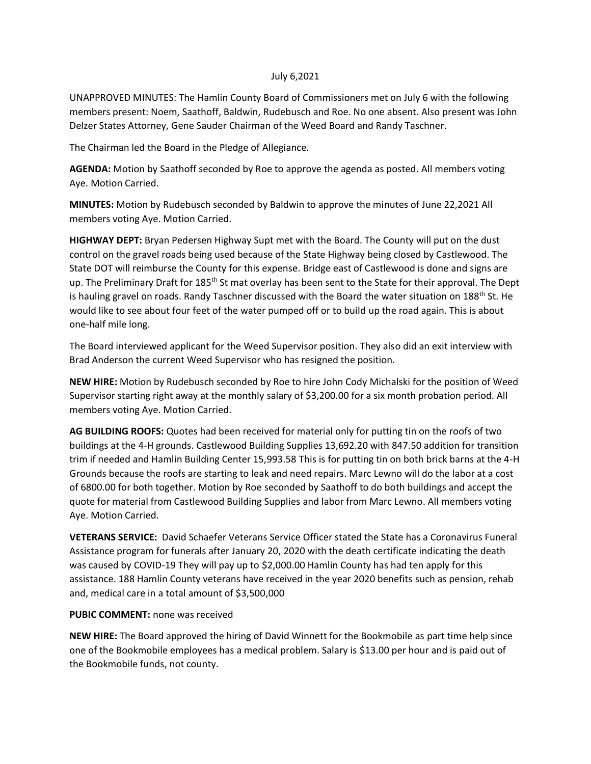## July 6,2021

UNAPPROVED MINUTES: The Hamlin County Board of Commissioners met on July 6 with the following members present: Noem, Saathoff, Baldwin, Rudebusch and Roe. No one absent. Also present was John Delzer States Attorney, Gene Sauder Chairman of the Weed Board and Randy Taschner.

The Chairman led the Board in the Pledge of Allegiance.

**AGENDA:** Motion by Saathoff seconded by Roe to approve the agenda as posted. All members voting Aye. Motion Carried.

**MINUTES:** Motion by Rudebusch seconded by Baldwin to approve the minutes of June 22,2021 All members voting Aye. Motion Carried.

**HIGHWAY DEPT:** Bryan Pedersen Highway Supt met with the Board. The County will put on the dust control on the gravel roads being used because of the State Highway being closed by Castlewood. The State DOT will reimburse the County for this expense. Bridge east of Castlewood is done and signs are up. The Preliminary Draft for 185<sup>th</sup> St mat overlay has been sent to the State for their approval. The Dept is hauling gravel on roads. Randy Taschner discussed with the Board the water situation on 188<sup>th</sup> St. He would like to see about four feet of the water pumped off or to build up the road again. This is about one-half mile long.

The Board interviewed applicant for the Weed Supervisor position. They also did an exit interview with Brad Anderson the current Weed Supervisor who has resigned the position.

**NEW HIRE:** Motion by Rudebusch seconded by Roe to hire John Cody Michalski for the position of Weed Supervisor starting right away at the monthly salary of \$3,200.00 for a six month probation period. All members voting Aye. Motion Carried.

**AG BUILDING ROOFS:** Quotes had been received for material only for putting tin on the roofs of two buildings at the 4-H grounds. Castlewood Building Supplies 13,692.20 with 847.50 addition for transition trim if needed and Hamlin Building Center 15,993.58 This is for putting tin on both brick barns at the 4-H Grounds because the roofs are starting to leak and need repairs. Marc Lewno will do the labor at a cost of 6800.00 for both together. Motion by Roe seconded by Saathoff to do both buildings and accept the quote for material from Castlewood Building Supplies and labor from Marc Lewno. All members voting Aye. Motion Carried.

**VETERANS SERVICE:** David Schaefer Veterans Service Officer stated the State has a Coronavirus Funeral Assistance program for funerals after January 20, 2020 with the death certificate indicating the death was caused by COVID-19 They will pay up to \$2,000.00 Hamlin County has had ten apply for this assistance. 188 Hamlin County veterans have received in the year 2020 benefits such as pension, rehab and, medical care in a total amount of \$3,500,000

## **PUBIC COMMENT:** none was received

**NEW HIRE:** The Board approved the hiring of David Winnett for the Bookmobile as part time help since one of the Bookmobile employees has a medical problem. Salary is \$13.00 per hour and is paid out of the Bookmobile funds, not county.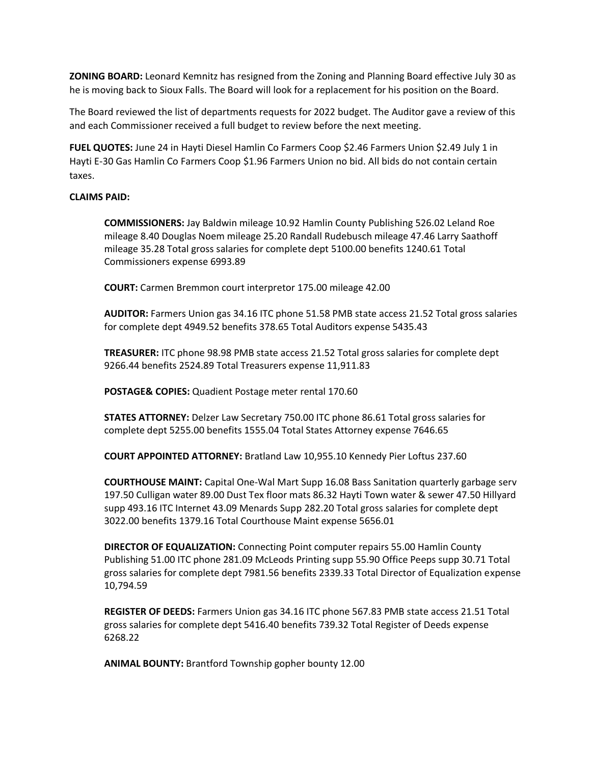**ZONING BOARD:** Leonard Kemnitz has resigned from the Zoning and Planning Board effective July 30 as he is moving back to Sioux Falls. The Board will look for a replacement for his position on the Board.

The Board reviewed the list of departments requests for 2022 budget. The Auditor gave a review of this and each Commissioner received a full budget to review before the next meeting.

**FUEL QUOTES:** June 24 in Hayti Diesel Hamlin Co Farmers Coop \$2.46 Farmers Union \$2.49 July 1 in Hayti E-30 Gas Hamlin Co Farmers Coop \$1.96 Farmers Union no bid. All bids do not contain certain taxes.

## **CLAIMS PAID:**

**COMMISSIONERS:** Jay Baldwin mileage 10.92 Hamlin County Publishing 526.02 Leland Roe mileage 8.40 Douglas Noem mileage 25.20 Randall Rudebusch mileage 47.46 Larry Saathoff mileage 35.28 Total gross salaries for complete dept 5100.00 benefits 1240.61 Total Commissioners expense 6993.89

**COURT:** Carmen Bremmon court interpretor 175.00 mileage 42.00

**AUDITOR:** Farmers Union gas 34.16 ITC phone 51.58 PMB state access 21.52 Total gross salaries for complete dept 4949.52 benefits 378.65 Total Auditors expense 5435.43

**TREASURER:** ITC phone 98.98 PMB state access 21.52 Total gross salaries for complete dept 9266.44 benefits 2524.89 Total Treasurers expense 11,911.83

**POSTAGE& COPIES:** Quadient Postage meter rental 170.60

**STATES ATTORNEY:** Delzer Law Secretary 750.00 ITC phone 86.61 Total gross salaries for complete dept 5255.00 benefits 1555.04 Total States Attorney expense 7646.65

**COURT APPOINTED ATTORNEY:** Bratland Law 10,955.10 Kennedy Pier Loftus 237.60

**COURTHOUSE MAINT:** Capital One-Wal Mart Supp 16.08 Bass Sanitation quarterly garbage serv 197.50 Culligan water 89.00 Dust Tex floor mats 86.32 Hayti Town water & sewer 47.50 Hillyard supp 493.16 ITC Internet 43.09 Menards Supp 282.20 Total gross salaries for complete dept 3022.00 benefits 1379.16 Total Courthouse Maint expense 5656.01

**DIRECTOR OF EQUALIZATION:** Connecting Point computer repairs 55.00 Hamlin County Publishing 51.00 ITC phone 281.09 McLeods Printing supp 55.90 Office Peeps supp 30.71 Total gross salaries for complete dept 7981.56 benefits 2339.33 Total Director of Equalization expense 10,794.59

**REGISTER OF DEEDS:** Farmers Union gas 34.16 ITC phone 567.83 PMB state access 21.51 Total gross salaries for complete dept 5416.40 benefits 739.32 Total Register of Deeds expense 6268.22

**ANIMAL BOUNTY:** Brantford Township gopher bounty 12.00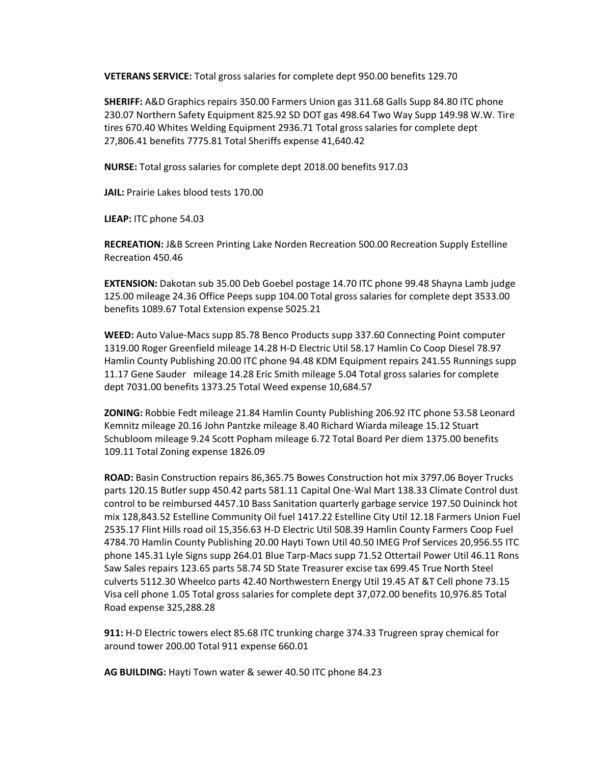**VETERANS SERVICE:** Total gross salaries for complete dept 950.00 benefits 129.70

**SHERIFF:** A&D Graphics repairs 350.00 Farmers Union gas 311.68 Galls Supp 84.80 ITC phone 230.07 Northern Safety Equipment 825.92 SD DOT gas 498.64 Two Way Supp 149.98 W.W. Tire tires 670.40 Whites Welding Equipment 2936.71 Total gross salaries for complete dept 27,806.41 benefits 7775.81 Total Sheriffs expense 41,640.42

**NURSE:** Total gross salaries for complete dept 2018.00 benefits 917.03

**JAIL:** Prairie Lakes blood tests 170.00

**LIEAP:** ITC phone 54.03

**RECREATION:** J&B Screen Printing Lake Norden Recreation 500.00 Recreation Supply Estelline Recreation 450.46

**EXTENSION:** Dakotan sub 35.00 Deb Goebel postage 14.70 ITC phone 99.48 Shayna Lamb judge 125.00 mileage 24.36 Office Peeps supp 104.00 Total gross salaries for complete dept 3533.00 benefits 1089.67 Total Extension expense 5025.21

**WEED:** Auto Value-Macs supp 85.78 Benco Products supp 337.60 Connecting Point computer 1319.00 Roger Greenfield mileage 14.28 H-D Electric Util 58.17 Hamlin Co Coop Diesel 78.97 Hamlin County Publishing 20.00 ITC phone 94.48 KDM Equipment repairs 241.55 Runnings supp 11.17 Gene Sauder mileage 14.28 Eric Smith mileage 5.04 Total gross salaries for complete dept 7031.00 benefits 1373.25 Total Weed expense 10,684.57

**ZONING:** Robbie Fedt mileage 21.84 Hamlin County Publishing 206.92 ITC phone 53.58 Leonard Kemnitz mileage 20.16 John Pantzke mileage 8.40 Richard Wiarda mileage 15.12 Stuart Schubloom mileage 9.24 Scott Popham mileage 6.72 Total Board Per diem 1375.00 benefits 109.11 Total Zoning expense 1826.09

**ROAD:** Basin Construction repairs 86,365.75 Bowes Construction hot mix 3797.06 Boyer Trucks parts 120.15 Butler supp 450.42 parts 581.11 Capital One-Wal Mart 138.33 Climate Control dust control to be reimbursed 4457.10 Bass Sanitation quarterly garbage service 197.50 Duininck hot mix 128,843.52 Estelline Community Oil fuel 1417.22 Estelline City Util 12.18 Farmers Union Fuel 2535.17 Flint Hills road oil 15,356.63 H-D Electric Util 508.39 Hamlin County Farmers Coop Fuel 4784.70 Hamlin County Publishing 20.00 Hayti Town Util 40.50 IMEG Prof Services 20,956.55 ITC phone 145.31 Lyle Signs supp 264.01 Blue Tarp-Macs supp 71.52 Ottertail Power Util 46.11 Rons Saw Sales repairs 123.65 parts 58.74 SD State Treasurer excise tax 699.45 True North Steel culverts 5112.30 Wheelco parts 42.40 Northwestern Energy Util 19.45 AT &T Cell phone 73.15 Visa cell phone 1.05 Total gross salaries for complete dept 37,072.00 benefits 10,976.85 Total Road expense 325,288.28

**911:** H-D Electric towers elect 85.68 ITC trunking charge 374.33 Trugreen spray chemical for around tower 200.00 Total 911 expense 660.01

**AG BUILDING:** Hayti Town water & sewer 40.50 ITC phone 84.23